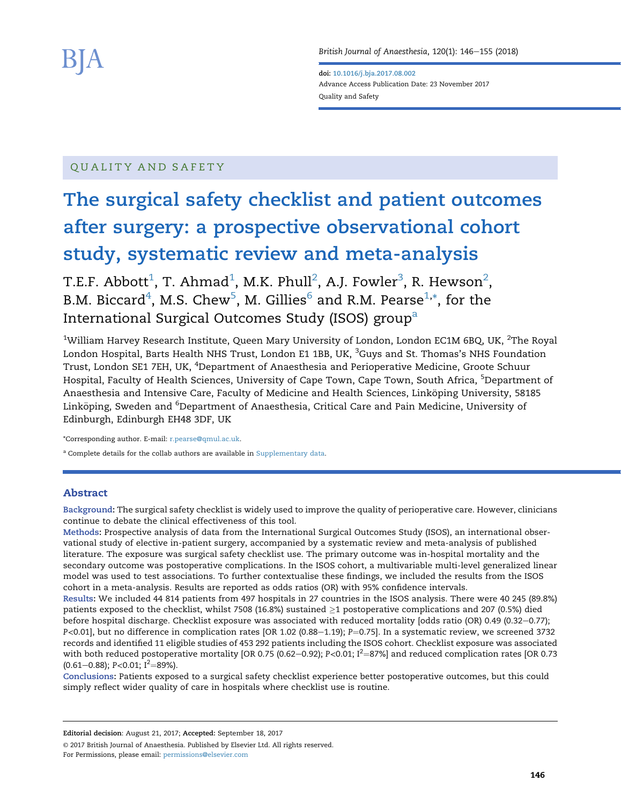doi: [10.1016/j.bja.2017.08.002](https://doi.org/10.1016/j.bja.2017.08.002) Advance Access Publication Date: 23 November 2017 Quality and Safety

# QUALITY AND SAFETY

# The surgical safety checklist and patient outcomes after surgery: a prospective observational cohort study, systematic review and meta-analysis

T.E.F. Abbott $^1$ , T. Ahmad $^1$ , M.K. Phull $^2$ , A.J. Fowler $^3$ , R. Hewson $^2$ , B.M. Biccard $^4$ , M.S. Chew $^5$ , M. Gillies $^6$  and R.M. Pearse $^{\mathrm{1},*}$ , for the International Surgical Outcomes Study (ISOS) group<sup>a</sup>

 $^{\rm 1}$ William Harvey Research Institute, Queen Mary University of London, London EC1M 6BQ, UK,  $^{\rm 2}$ The Royal London Hospital, Barts Health NHS Trust, London E1 1BB, UK,  $^3$ Guys and St. Thomas's NHS Foundation Trust, London SE1 7EH, UK, <sup>4</sup>Department of Anaesthesia and Perioperative Medicine, Groote Schuur Hospital, Faculty of Health Sciences, University of Cape Town, Cape Town, South Africa, <sup>5</sup>Department of Anaesthesia and Intensive Care, Faculty of Medicine and Health Sciences, Linköping University, 58185 Linköping, Sweden and <sup>6</sup>Department of Anaesthesia, Critical Care and Pain Medicine, University of Edinburgh, Edinburgh EH48 3DF, UK

\*Corresponding author. E-mail: [r.pearse@qmul.ac.uk](mailto:r.pearse@qmul.ac.uk).

<sup>a</sup> Complete details for the collab authors are available in Supplementary data.

# Abstract

Background: The surgical safety checklist is widely used to improve the quality of perioperative care. However, clinicians continue to debate the clinical effectiveness of this tool.

Methods: Prospective analysis of data from the International Surgical Outcomes Study (ISOS), an international observational study of elective in-patient surgery, accompanied by a systematic review and meta-analysis of published literature. The exposure was surgical safety checklist use. The primary outcome was in-hospital mortality and the secondary outcome was postoperative complications. In the ISOS cohort, a multivariable multi-level generalized linear model was used to test associations. To further contextualise these findings, we included the results from the ISOS cohort in a meta-analysis. Results are reported as odds ratios (OR) with 95% confidence intervals.

Results: We included 44 814 patients from 497 hospitals in 27 countries in the ISOS analysis. There were 40 245 (89.8%) patients exposed to the checklist, whilst 7508 (16.8%) sustained  $\geq$ 1 postoperative complications and 207 (0.5%) died before hospital discharge. Checklist exposure was associated with reduced mortality [odds ratio (OR) 0.49 (0.32–0.77); P<0.01], but no difference in complication rates [OR 1.02 (0.88–1.19); P=0.75]. In a systematic review, we screened 3732 records and identified 11 eligible studies of 453 292 patients including the ISOS cohort. Checklist exposure was associated with both reduced postoperative mortality [OR 0.75 (0.62–0.92); P<0.01; I $^2$ =87%] and reduced complication rates [OR 0.73 (0.61–0.88); P<0.01; I<sup>2</sup>=89%).

Conclusions: Patients exposed to a surgical safety checklist experience better postoperative outcomes, but this could simply reflect wider quality of care in hospitals where checklist use is routine.

Editorial decision: August 21, 2017; Accepted: September 18, 2017

© 2017 British Journal of Anaesthesia. Published by Elsevier Ltd. All rights reserved.

For Permissions, please email: [permissions@elsevier.com](mailto:permissions@elsevier.com)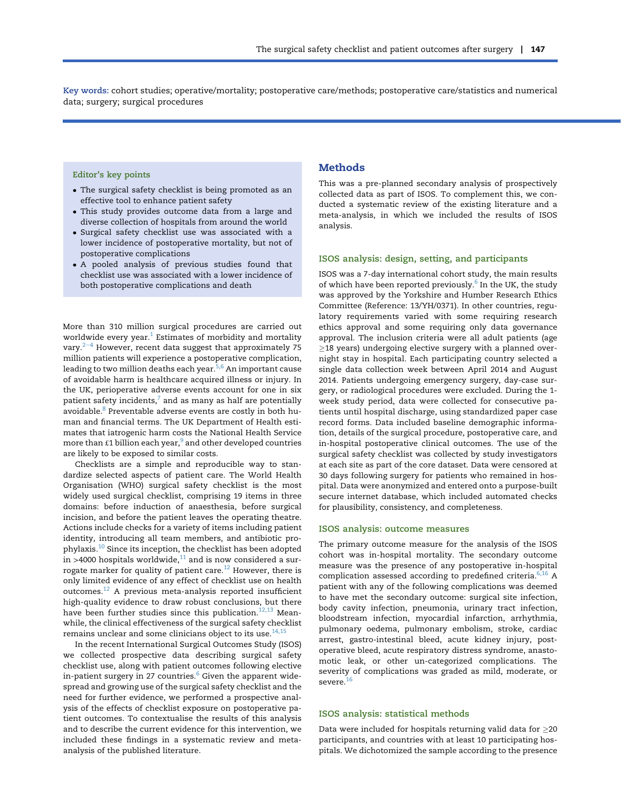Key words: cohort studies; operative/mortality; postoperative care/methods; postoperative care/statistics and numerical data; surgery; surgical procedures

#### Editor's key points

- The surgical safety checklist is being promoted as an effective tool to enhance patient safety
- This study provides outcome data from a large and diverse collection of hospitals from around the world
- Surgical safety checklist use was associated with a lower incidence of postoperative mortality, but not of postoperative complications
- A pooled analysis of previous studies found that checklist use was associated with a lower incidence of both postoperative complications and death

More than 310 million surgical procedures are carried out worldwide every year. $1$  Estimates of morbidity and mortality vary. $2-4$  $2-4$  $2-4$  However, recent data suggest that approximately 75 million patients will experience a postoperative complication, leading to two million deaths each year.<sup>[5,6](#page-8-0)</sup> An important cause of avoidable harm is healthcare acquired illness or injury. In the UK, perioperative adverse events account for one in six patient safety incidents, $^7$  and as many as half are potentially avoidable. $8$  Preventable adverse events are costly in both human and financial terms. The UK Department of Health estimates that iatrogenic harm costs the National Health Service more than £1 billion each year, $9$  and other developed countries are likely to be exposed to similar costs.

Checklists are a simple and reproducible way to standardize selected aspects of patient care. The World Health Organisation (WHO) surgical safety checklist is the most widely used surgical checklist, comprising 19 items in three domains: before induction of anaesthesia, before surgical incision, and before the patient leaves the operating theatre. Actions include checks for a variety of items including patient identity, introducing all team members, and antibiotic prophylaxis.[10](#page-8-0) Since its inception, the checklist has been adopted in >4000 hospitals worldwide, $11$  and is now considered a sur-rogate marker for quality of patient care.<sup>[12](#page-8-0)</sup> However, there is only limited evidence of any effect of checklist use on health outcomes.[12](#page-8-0) A previous meta-analysis reported insufficient high-quality evidence to draw robust conclusions, but there have been further studies since this publication. $12,13$  Meanwhile, the clinical effectiveness of the surgical safety checklist remains unclear and some clinicians object to its use. $14,15$ 

In the recent International Surgical Outcomes Study (ISOS) we collected prospective data describing surgical safety checklist use, along with patient outcomes following elective in-patient surgery in 27 countries. $6$  Given the apparent widespread and growing use of the surgical safety checklist and the need for further evidence, we performed a prospective analysis of the effects of checklist exposure on postoperative patient outcomes. To contextualise the results of this analysis and to describe the current evidence for this intervention, we included these findings in a systematic review and metaanalysis of the published literature.

## **Methods**

This was a pre-planned secondary analysis of prospectively collected data as part of ISOS. To complement this, we conducted a systematic review of the existing literature and a meta-analysis, in which we included the results of ISOS analysis.

#### ISOS analysis: design, setting, and participants

ISOS was a 7-day international cohort study, the main results of which have been reported previously. $^6$  $^6$  In the UK, the study was approved by the Yorkshire and Humber Research Ethics Committee (Reference: 13/YH/0371). In other countries, regulatory requirements varied with some requiring research ethics approval and some requiring only data governance approval. The inclusion criteria were all adult patients (age  $\geq$ 18 years) undergoing elective surgery with a planned overnight stay in hospital. Each participating country selected a single data collection week between April 2014 and August 2014. Patients undergoing emergency surgery, day-case surgery, or radiological procedures were excluded. During the 1 week study period, data were collected for consecutive patients until hospital discharge, using standardized paper case record forms. Data included baseline demographic information, details of the surgical procedure, postoperative care, and in-hospital postoperative clinical outcomes. The use of the surgical safety checklist was collected by study investigators at each site as part of the core dataset. Data were censored at 30 days following surgery for patients who remained in hospital. Data were anonymized and entered onto a purpose-built secure internet database, which included automated checks for plausibility, consistency, and completeness.

#### ISOS analysis: outcome measures

The primary outcome measure for the analysis of the ISOS cohort was in-hospital mortality. The secondary outcome measure was the presence of any postoperative in-hospital complication assessed according to predefined criteria. $6,16$  A patient with any of the following complications was deemed to have met the secondary outcome: surgical site infection, body cavity infection, pneumonia, urinary tract infection, bloodstream infection, myocardial infarction, arrhythmia, pulmonary oedema, pulmonary embolism, stroke, cardiac arrest, gastro-intestinal bleed, acute kidney injury, postoperative bleed, acute respiratory distress syndrome, anastomotic leak, or other un-categorized complications. The severity of complications was graded as mild, moderate, or severe.<sup>[16](#page-8-0)</sup>

#### ISOS analysis: statistical methods

Data were included for hospitals returning valid data for  $\geq$ 20 participants, and countries with at least 10 participating hospitals. We dichotomized the sample according to the presence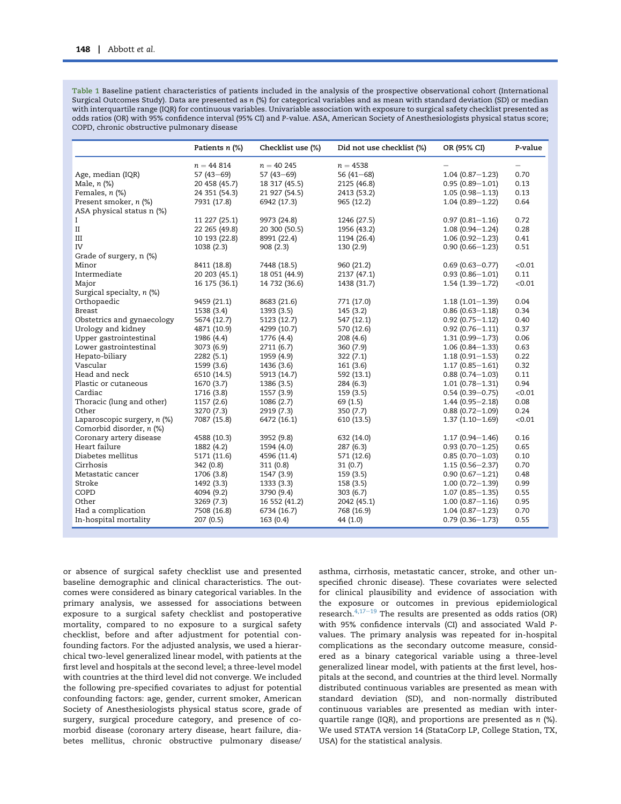<span id="page-2-0"></span>Table 1 Baseline patient characteristics of patients included in the analysis of the prospective observational cohort (International Surgical Outcomes Study). Data are presented as n (%) for categorical variables and as mean with standard deviation (SD) or median with interquartile range (IQR) for continuous variables. Univariable association with exposure to surgical safety checklist presented as odds ratios (OR) with 95% confidence interval (95% CI) and P-value. ASA, American Society of Anesthesiologists physical status score; COPD, chronic obstructive pulmonary disease

|                             | Patients n (%) | Checklist use (%) | Did not use checklist (%) | OR (95% CI)         | P-value |
|-----------------------------|----------------|-------------------|---------------------------|---------------------|---------|
|                             | $n = 44814$    | $n = 40245$       | $n = 4538$                |                     |         |
| Age, median (IQR)           | $57(43-69)$    | $57(43-69)$       | 56 $(41-68)$              | $1.04(0.87 - 1.23)$ | 0.70    |
| Male, $n$ $%$               | 20 458 (45.7)  | 18 317 (45.5)     | 2125 (46.8)               | $0.95(0.89 - 1.01)$ | 0.13    |
| Females, $n$ (%)            | 24 351 (54.3)  | 21 927 (54.5)     | 2413 (53.2)               | $1.05(0.98 - 1.13)$ | 0.13    |
| Present smoker, n (%)       | 7931 (17.8)    | 6942 (17.3)       | 965 (12.2)                | $1.04(0.89 - 1.22)$ | 0.64    |
| ASA physical status n (%)   |                |                   |                           |                     |         |
|                             | 11 227 (25.1)  | 9973 (24.8)       | 1246 (27.5)               | $0.97(0.81 - 1.16)$ | 0.72    |
| II                          | 22 265 (49.8)  | 20 300 (50.5)     | 1956 (43.2)               | $1.08(0.94 - 1.24)$ | 0.28    |
| III                         | 10 193 (22.8)  | 8991 (22.4)       | 1194 (26.4)               | $1.06(0.92 - 1.23)$ | 0.41    |
| IV                          | 1038(2.3)      | 908(2.3)          | 130 (2.9)                 | $0.90(0.66 - 1.23)$ | 0.51    |
| Grade of surgery, n (%)     |                |                   |                           |                     |         |
| Minor                       | 8411 (18.8)    | 7448 (18.5)       | 960 (21.2)                | $0.69(0.63 - 0.77)$ | < 0.01  |
| Intermediate                | 20 203 (45.1)  | 18 051 (44.9)     | 2137 (47.1)               | $0.93(0.86 - 1.01)$ | 0.11    |
| Major                       | 16 175 (36.1)  | 14 732 (36.6)     | 1438 (31.7)               | $1.54(1.39 - 1.72)$ | < 0.01  |
| Surgical specialty, n (%)   |                |                   |                           |                     |         |
| Orthopaedic                 | 9459 (21.1)    | 8683 (21.6)       | 771 (17.0)                | $1.18(1.01 - 1.39)$ | 0.04    |
| <b>Breast</b>               | 1538 (3.4)     | 1393(3.5)         | 145(3.2)                  | $0.86(0.63 - 1.18)$ | 0.34    |
| Obstetrics and gynaecology  | 5674 (12.7)    | 5123 (12.7)       | 547 (12.1)                | $0.92(0.75 - 1.12)$ | 0.40    |
| Urology and kidney          | 4871 (10.9)    | 4299 (10.7)       | 570 (12.6)                | $0.92(0.76 - 1.11)$ | 0.37    |
| Upper gastrointestinal      | 1986 (4.4)     | 1776 (4.4)        | 208(4.6)                  | $1.31(0.99 - 1.73)$ | 0.06    |
| Lower gastrointestinal      | 3073(6.9)      | 2711(6.7)         | 360(7.9)                  | $1.06(0.84 - 1.33)$ | 0.63    |
| Hepato-biliary              | 2282 (5.1)     | 1959 (4.9)        | 322(7.1)                  | $1.18(0.91 - 1.53)$ | 0.22    |
| Vascular                    | 1599 (3.6)     | 1436 (3.6)        | 161(3.6)                  | $1.17(0.85 - 1.61)$ | 0.32    |
| Head and neck               | 6510 (14.5)    | 5913 (14.7)       | 592 (13.1)                | $0.88(0.74 - 1.03)$ | 0.11    |
| Plastic or cutaneous        | 1670(3.7)      | 1386 (3.5)        | 284(6.3)                  | $1.01(0.78 - 1.31)$ | 0.94    |
| Cardiac                     | 1716 (3.8)     | 1557 (3.9)        | 159(3.5)                  | $0.54(0.39 - 0.75)$ | < 0.01  |
| Thoracic (lung and other)   | 1157(2.6)      | 1086 (2.7)        | 69 (1.5)                  | $1.44(0.95 - 2.18)$ | 0.08    |
| Other                       | 3270 (7.3)     | 2919 (7.3)        | 350(7.7)                  | $0.88(0.72 - 1.09)$ | 0.24    |
| Laparoscopic surgery, n (%) | 7087 (15.8)    | 6472 (16.1)       | 610 (13.5)                | $1.37(1.10 - 1.69)$ | < 0.01  |
| Comorbid disorder, n (%)    |                |                   |                           |                     |         |
| Coronary artery disease     | 4588 (10.3)    | 3952 (9.8)        | 632 (14.0)                | $1.17(0.94 - 1.46)$ | 0.16    |
| Heart failure               | 1882 (4.2)     | 1594 (4.0)        | 287(6.3)                  | $0.93(0.70 - 1.25)$ | 0.65    |
| Diabetes mellitus           | 5171 (11.6)    | 4596 (11.4)       | 571 (12.6)                | $0.85(0.70 - 1.03)$ | 0.10    |
| Cirrhosis                   | 342(0.8)       | 311(0.8)          | 31(0.7)                   | $1.15(0.56 - 2.37)$ | 0.70    |
| Metastatic cancer           | 1706 (3.8)     | 1547 (3.9)        | 159(3.5)                  | $0.90(0.67 - 1.21)$ | 0.48    |
| Stroke                      | 1492 (3.3)     | 1333 (3.3)        | 158 (3.5)                 | $1.00(0.72 - 1.39)$ | 0.99    |
| COPD                        | 4094 (9.2)     | 3790 (9.4)        | 303(6.7)                  | $1.07(0.85 - 1.35)$ | 0.55    |
| Other                       | 3269(7.3)      | 16 552 (41.2)     | 2042 (45.1)               | $1.00(0.87 - 1.16)$ | 0.95    |
| Had a complication          | 7508 (16.8)    | 6734 (16.7)       | 768 (16.9)                | $1.04(0.87 - 1.23)$ | 0.70    |
| In-hospital mortality       | 207(0.5)       | 163(0.4)          | 44 (1.0)                  | $0.79(0.36 - 1.73)$ | 0.55    |
|                             |                |                   |                           |                     |         |

or absence of surgical safety checklist use and presented baseline demographic and clinical characteristics. The outcomes were considered as binary categorical variables. In the primary analysis, we assessed for associations between exposure to a surgical safety checklist and postoperative mortality, compared to no exposure to a surgical safety checklist, before and after adjustment for potential confounding factors. For the adjusted analysis, we used a hierarchical two-level generalized linear model, with patients at the first level and hospitals at the second level; a three-level model with countries at the third level did not converge. We included the following pre-specified covariates to adjust for potential confounding factors: age, gender, current smoker, American Society of Anesthesiologists physical status score, grade of surgery, surgical procedure category, and presence of comorbid disease (coronary artery disease, heart failure, diabetes mellitus, chronic obstructive pulmonary disease/

asthma, cirrhosis, metastatic cancer, stroke, and other unspecified chronic disease). These covariates were selected for clinical plausibility and evidence of association with the exposure or outcomes in previous epidemiological research.<sup>[4,17](#page-8-0)-[19](#page-8-0)</sup> The results are presented as odds ratios (OR) with 95% confidence intervals (CI) and associated Wald Pvalues. The primary analysis was repeated for in-hospital complications as the secondary outcome measure, considered as a binary categorical variable using a three-level generalized linear model, with patients at the first level, hospitals at the second, and countries at the third level. Normally distributed continuous variables are presented as mean with standard deviation (SD), and non-normally distributed continuous variables are presented as median with interquartile range (IQR), and proportions are presented as n (%). We used STATA version 14 (StataCorp LP, College Station, TX, USA) for the statistical analysis.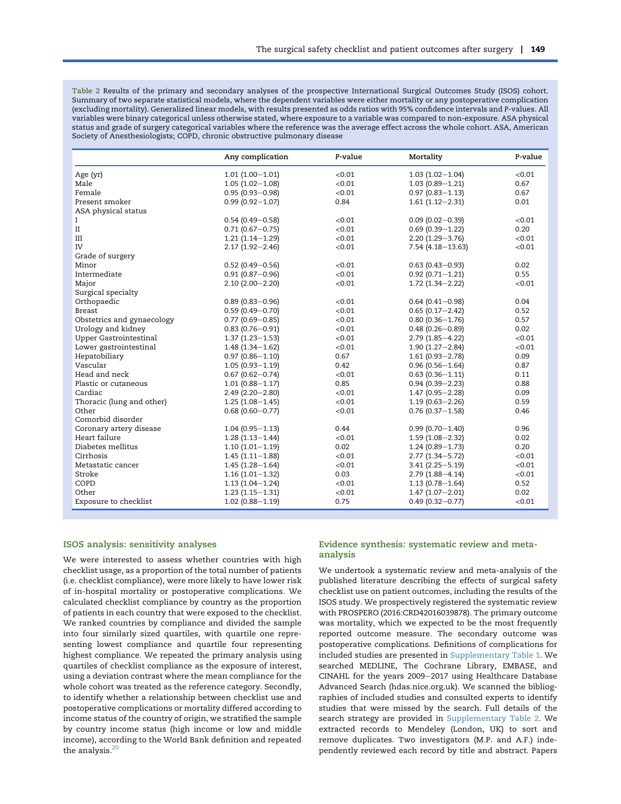<span id="page-3-0"></span>Table 2 Results of the primary and secondary analyses of the prospective International Surgical Outcomes Study (ISOS) cohort. Summary of two separate statistical models, where the dependent variables were either mortality or any postoperative complication (excluding mortality). Generalized linear models, with results presented as odds ratios with 95% confidence intervals and P-values. All variables were binary categorical unless otherwise stated, where exposure to a variable was compared to non-exposure. ASA physical status and grade of surgery categorical variables where the reference was the average effect across the whole cohort. ASA, American Society of Anesthesiologists; COPD, chronic obstructive pulmonary disease

|                               | Any complication    | P-value | Mortality            | P-value |
|-------------------------------|---------------------|---------|----------------------|---------|
| Age (yr)                      | $1.01(1.00 - 1.01)$ | < 0.01  | $1.03(1.02 - 1.04)$  | < 0.01  |
| Male                          | $1.05(1.02 - 1.08)$ | < 0.01  | $1.03(0.89 - 1.21)$  | 0.67    |
| Female                        | $0.95(0.93 - 0.98)$ | < 0.01  | $0.97(0.83 - 1.13)$  | 0.67    |
| Present smoker                | $0.99(0.92 - 1.07)$ | 0.84    | $1.61(1.12 - 2.31)$  | 0.01    |
| ASA physical status           |                     |         |                      |         |
| Ι.                            | $0.54(0.49 - 0.58)$ | < 0.01  | $0.09(0.02 - 0.39)$  | < 0.01  |
| $\mathbf{I}$                  | $0.71(0.67 - 0.75)$ | < 0.01  | $0.69(0.39 - 1.22)$  | 0.20    |
| III                           | $1.21(1.14 - 1.29)$ | < 0.01  | $2.20(1.29 - 3.76)$  | < 0.01  |
| IV                            | $2.17(1.92 - 2.46)$ | < 0.01  | $7.54(4.18 - 13.63)$ | < 0.01  |
| Grade of surgery              |                     |         |                      |         |
| Minor                         | $0.52(0.49 - 0.56)$ | < 0.01  | $0.63(0.43 - 0.93)$  | 0.02    |
| Intermediate                  | $0.91(0.87 - 0.96)$ | < 0.01  | $0.92(0.71 - 1.21)$  | 0.55    |
| Major                         | $2.10(2.00 - 2.20)$ | < 0.01  | $1.72(1.34 - 2.22)$  | < 0.01  |
| Surgical specialty            |                     |         |                      |         |
| Orthopaedic                   | $0.89(0.83 - 0.96)$ | < 0.01  | $0.64$ (0.41-0.98)   | 0.04    |
| <b>Breast</b>                 | $0.59(0.49 - 0.70)$ | < 0.01  | $0.65(0.17 - 2.42)$  | 0.52    |
| Obstetrics and gynaecology    | $0.77$ (0.69-0.85)  | < 0.01  | $0.80(0.36 - 1.76)$  | 0.57    |
| Urology and kidney            | $0.83(0.76 - 0.91)$ | < 0.01  | $0.48(0.26 - 0.89)$  | 0.02    |
| <b>Upper Gastrointestinal</b> | $1.37(1.23 - 1.53)$ | < 0.01  | $2.79(1.85 - 4.22)$  | < 0.01  |
| Lower gastrointestinal        | $1.48(1.34 - 1.62)$ | < 0.01  | $1.90(1.27 - 2.84)$  | < 0.01  |
| Hepatobiliary                 | $0.97(0.86 - 1.10)$ | 0.67    | $1.61(0.93 - 2.78)$  | 0.09    |
| Vascular                      | $1.05(0.93 - 1.19)$ | 0.42    | $0.96(0.56 - 1.64)$  | 0.87    |
| Head and neck                 | $0.67$ (0.62-0.74)  | < 0.01  | $0.63(0.36 - 1.11)$  | 0.11    |
| Plastic or cutaneous          | $1.01(0.88 - 1.17)$ | 0.85    | $0.94(0.39 - 2.23)$  | 0.88    |
| Cardiac                       | $2.49(2.20 - 2.80)$ | < 0.01  | $1.47(0.95 - 2.28)$  | 0.09    |
| Thoracic (lung and other)     | $1.25(1.08 - 1.45)$ | < 0.01  | $1.19(0.63 - 2.26)$  | 0.59    |
| Other                         | $0.68(0.60 - 0.77)$ | < 0.01  | $0.76(0.37 - 1.58)$  | 0.46    |
| Comorbid disorder             |                     |         |                      |         |
| Coronary artery disease       | $1.04(0.95 - 1.13)$ | 0.44    | $0.99(0.70 - 1.40)$  | 0.96    |
| Heart failure                 | $1.28(1.13 - 1.44)$ | < 0.01  | $1.59(1.08 - 2.32)$  | 0.02    |
| Diabetes mellitus             | $1.10(1.01 - 1.19)$ | 0.02    | $1.24(0.89 - 1.73)$  | 0.20    |
| Cirrhosis                     | $1.45(1.11 - 1.88)$ | < 0.01  | $2.77(1.34 - 5.72)$  | < 0.01  |
| Metastatic cancer             | $1.45(1.28 - 1.64)$ | < 0.01  | $3.41(2.25 - 5.19)$  | < 0.01  |
| Stroke                        | $1.16(1.01 - 1.32)$ | 0.03    | $2.79(1.88 - 4.14)$  | < 0.01  |
| COPD                          | $1.13(1.04 - 1.24)$ | < 0.01  | $1.13(0.78 - 1.64)$  | 0.52    |
| Other                         | $1.23(1.15 - 1.31)$ | < 0.01  | $1.47(1.07 - 2.01)$  | 0.02    |
| Exposure to checklist         | $1.02(0.88 - 1.19)$ | 0.75    | $0.49(0.32 - 0.77)$  | < 0.01  |

#### ISOS analysis: sensitivity analyses

We were interested to assess whether countries with high checklist usage, as a proportion of the total number of patients (i.e. checklist compliance), were more likely to have lower risk of in-hospital mortality or postoperative complications. We calculated checklist compliance by country as the proportion of patients in each country that were exposed to the checklist. We ranked countries by compliance and divided the sample into four similarly sized quartiles, with quartile one representing lowest compliance and quartile four representing highest compliance. We repeated the primary analysis using quartiles of checklist compliance as the exposure of interest, using a deviation contrast where the mean compliance for the whole cohort was treated as the reference category. Secondly, to identify whether a relationship between checklist use and postoperative complications or mortality differed according to income status of the country of origin, we stratified the sample by country income status (high income or low and middle income), according to the World Bank definition and repeated the analysis. $20$ 

#### Evidence synthesis: systematic review and metaanalysis

We undertook a systematic review and meta-analysis of the published literature describing the effects of surgical safety checklist use on patient outcomes, including the results of the ISOS study. We prospectively registered the systematic review with PROSPERO (2016:CRD42016039878). The primary outcome was mortality, which we expected to be the most frequently reported outcome measure. The secondary outcome was postoperative complications. Definitions of complications for included studies are presented in Supplementary Table 1. We searched MEDLINE, The Cochrane Library, EMBASE, and CINAHL for the years 2009-2017 using Healthcare Database Advanced Search (hdas.nice.org.uk). We scanned the bibliographies of included studies and consulted experts to identify studies that were missed by the search. Full details of the search strategy are provided in Supplementary Table 2. We extracted records to Mendeley (London, UK) to sort and remove duplicates. Two investigators (M.P. and A.F.) independently reviewed each record by title and abstract. Papers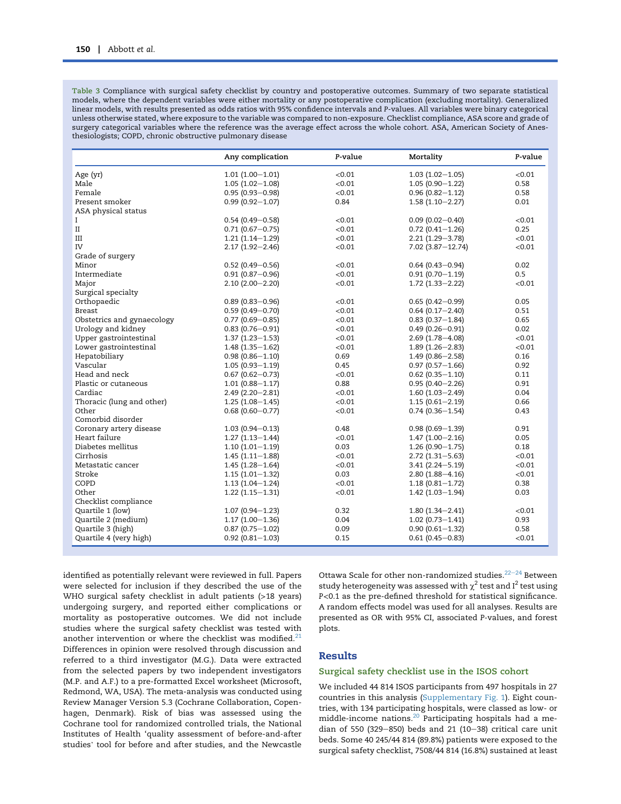<span id="page-4-0"></span>Table 3 Compliance with surgical safety checklist by country and postoperative outcomes. Summary of two separate statistical models, where the dependent variables were either mortality or any postoperative complication (excluding mortality). Generalized linear models, with results presented as odds ratios with 95% confidence intervals and P-values. All variables were binary categorical unless otherwise stated, where exposure to the variable was compared to non-exposure. Checklist compliance, ASA score and grade of surgery categorical variables where the reference was the average effect across the whole cohort. ASA, American Society of Anesthesiologists; COPD, chronic obstructive pulmonary disease

|                            | Any complication    | P-value | Mortality               | P-value   |
|----------------------------|---------------------|---------|-------------------------|-----------|
| Age (yr)                   | $1.01(1.00 - 1.01)$ | < 0.01  | $1.03(1.02 - 1.05)$     | < 0.01    |
| Male                       | $1.05(1.02 - 1.08)$ | < 0.01  | $1.05(0.90 - 1.22)$     | 0.58      |
| Female                     | $0.95(0.93 - 0.98)$ | < 0.01  | $0.96(0.82 - 1.12)$     | 0.58      |
| Present smoker             | $0.99(0.92 - 1.07)$ | 0.84    | $1.58(1.10 - 2.27)$     | 0.01      |
| ASA physical status        |                     |         |                         |           |
| I                          | $0.54(0.49 - 0.58)$ | < 0.01  | $0.09(0.02 - 0.40)$     | < 0.01    |
| $\rm II$                   | $0.71(0.67 - 0.75)$ | < 0.01  | $0.72$ (0.41-1.26)      | 0.25      |
| Ш                          | $1.21(1.14 - 1.29)$ | < 0.01  | $2.21(1.29 - 3.78)$     | ${<}0.01$ |
| IV                         | $2.17(1.92 - 2.46)$ | < 0.01  | $7.02$ (3.87 $-12.74$ ) | < 0.01    |
| Grade of surgery           |                     |         |                         |           |
| Minor                      | $0.52(0.49 - 0.56)$ | < 0.01  | $0.64(0.43 - 0.94)$     | 0.02      |
| Intermediate               | $0.91(0.87 - 0.96)$ | < 0.01  | $0.91(0.70 - 1.19)$     | 0.5       |
| Major                      | $2.10(2.00 - 2.20)$ | < 0.01  | $1.72(1.33 - 2.22)$     | < 0.01    |
| Surgical specialty         |                     |         |                         |           |
| Orthopaedic                | $0.89(0.83 - 0.96)$ | < 0.01  | $0.65(0.42 - 0.99)$     | 0.05      |
| Breast                     | $0.59(0.49 - 0.70)$ | < 0.01  | $0.64(0.17 - 2.40)$     | 0.51      |
| Obstetrics and gynaecology | $0.77(0.69 - 0.85)$ | < 0.01  | $0.83(0.37 - 1.84)$     | 0.65      |
| Urology and kidney         | $0.83(0.76 - 0.91)$ | < 0.01  | $0.49(0.26 - 0.91)$     | 0.02      |
| Upper gastrointestinal     | $1.37(1.23 - 1.53)$ | < 0.01  | $2.69(1.78 - 4.08)$     | < 0.01    |
| Lower gastrointestinal     | $1.48(1.35 - 1.62)$ | < 0.01  | $1.89(1.26 - 2.83)$     | < 0.01    |
| Hepatobiliary              | $0.98(0.86 - 1.10)$ | 0.69    | $1.49(0.86 - 2.58)$     | 0.16      |
| Vascular                   | $1.05(0.93 - 1.19)$ | 0.45    | $0.97(0.57 - 1.66)$     | 0.92      |
| Head and neck              | $0.67$ (0.62-0.73)  | < 0.01  | $0.62$ (0.35 $-1.10$ )  | 0.11      |
| Plastic or cutaneous       | $1.01(0.88 - 1.17)$ | 0.88    | $0.95(0.40 - 2.26)$     | 0.91      |
| Cardiac                    | $2.49(2.20 - 2.81)$ | < 0.01  | $1.60(1.03 - 2.49)$     | 0.04      |
| Thoracic (lung and other)  | $1.25(1.08 - 1.45)$ | < 0.01  | $1.15(0.61 - 2.19)$     | 0.66      |
| Other                      | $0.68(0.60 - 0.77)$ | < 0.01  | $0.74(0.36 - 1.54)$     | 0.43      |
| Comorbid disorder          |                     |         |                         |           |
| Coronary artery disease    | $1.03(0.94 - 0.13)$ | 0.48    | $0.98(0.69 - 1.39)$     | 0.91      |
| Heart failure              | $1.27(1.13 - 1.44)$ | < 0.01  | $1.47(1.00 - 2.16)$     | 0.05      |
| Diabetes mellitus          | $1.10(1.01 - 1.19)$ | 0.03    | $1.26(0.90 - 1.75)$     | 0.18      |
| Cirrhosis                  | $1.45(1.11 - 1.88)$ | < 0.01  | $2.72(1.31 - 5.63)$     | < 0.01    |
| Metastatic cancer          | $1.45(1.28 - 1.64)$ | < 0.01  | $3.41(2.24 - 5.19)$     | < 0.01    |
| Stroke                     | $1.15(1.01 - 1.32)$ | 0.03    | $2.80(1.88 - 4.16)$     | < 0.01    |
| COPD                       | $1.13(1.04 - 1.24)$ | < 0.01  | $1.18(0.81 - 1.72)$     | 0.38      |
| Other                      | $1.22(1.15 - 1.31)$ | < 0.01  | $1.42(1.03 - 1.94)$     | 0.03      |
| Checklist compliance       |                     |         |                         |           |
| Quartile 1 (low)           | $1.07(0.94 - 1.23)$ | 0.32    | $1.80(1.34 - 2.41)$     | < 0.01    |
| Quartile 2 (medium)        | $1.17(1.00 - 1.36)$ | 0.04    | $1.02(0.73 - 1.41)$     | 0.93      |
| Quartile 3 (high)          | $0.87(0.75 - 1.02)$ | 0.09    | $0.90(0.61 - 1.32)$     | 0.58      |
| Quartile 4 (very high)     | $0.92$ (0.81-1.03)  | 0.15    | $0.61(0.45 - 0.83)$     | < 0.01    |

identified as potentially relevant were reviewed in full. Papers were selected for inclusion if they described the use of the WHO surgical safety checklist in adult patients (>18 years) undergoing surgery, and reported either complications or mortality as postoperative outcomes. We did not include studies where the surgical safety checklist was tested with another intervention or where the checklist was modified. $21$ Differences in opinion were resolved through discussion and referred to a third investigator (M.G.). Data were extracted from the selected papers by two independent investigators (M.P. and A.F.) to a pre-formatted Excel worksheet (Microsoft, Redmond, WA, USA). The meta-analysis was conducted using Review Manager Version 5.3 (Cochrane Collaboration, Copenhagen, Denmark). Risk of bias was assessed using the Cochrane tool for randomized controlled trials, the National Institutes of Health 'quality assessment of before-and-after studies' tool for before and after studies, and the Newcastle

Ottawa Scale for other non-randomized studies.  $22-24$  $22-24$  $22-24$  Between study heterogeneity was assessed with  $\chi^2$  test and I<sup>2</sup> test using P<0.1 as the pre-defined threshold for statistical significance. A random effects model was used for all analyses. Results are presented as OR with 95% CI, associated P-values, and forest plots.

### Results

#### Surgical safety checklist use in the ISOS cohort

We included 44 814 ISOS participants from 497 hospitals in 27 countries in this analysis (Supplementary Fig. 1). Eight countries, with 134 participating hospitals, were classed as low- or middle-income nations.[20](#page-8-0) Participating hospitals had a median of 550 (329-850) beds and 21 (10-38) critical care unit beds. Some 40 245/44 814 (89.8%) patients were exposed to the surgical safety checklist, 7508/44 814 (16.8%) sustained at least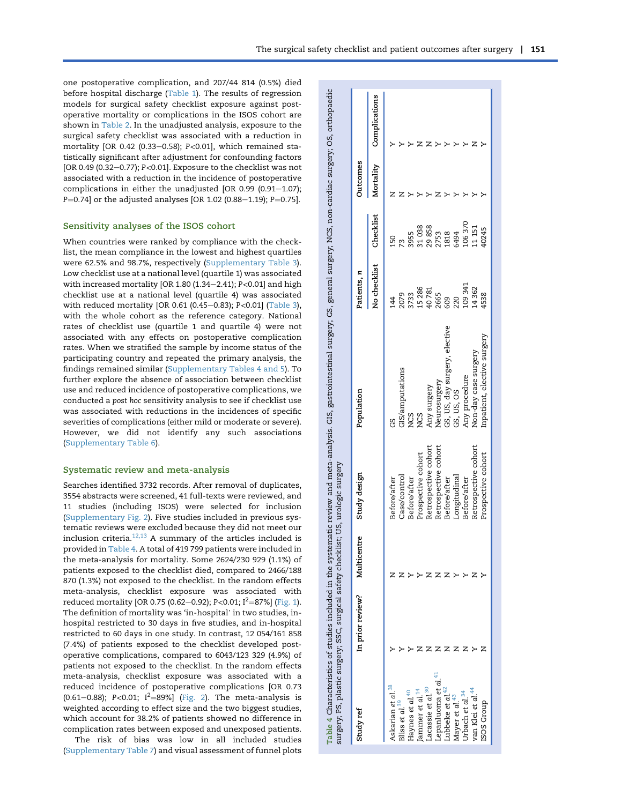one postoperative complication, and 207/44 814 (0.5%) died before hospital discharge [\(Table 1\)](#page-2-0). The results of regression models for surgical safety checklist exposure against postoperative mortality or complications in the ISOS cohort are shown in [Table 2.](#page-3-0) In the unadjusted analysis, exposure to the surgical safety checklist was associated with a reduction in mortality [OR 0.42 (0.33-0.58); P<0.01], which remained statistically significant after adjustment for confounding factors [OR 0.49 (0.32 $-$ 0.77); P<0.01]. Exposure to the checklist was not associated with a reduction in the incidence of postoperative complications in either the unadjusted  $[OR 0.99 (0.91-1.07);$ P=0.74] or the adjusted analyses [OR 1.02 (0.88-1.19); P=0.75].

#### Sensitivity analyses of the ISOS cohort

When countries were ranked by compliance with the checklist, the mean compliance in the lowest and highest quartiles were 62.5% and 98.7%, respectively (Supplementary Table 3). Low checklist use at a national level (quartile 1) was associated with increased mortality [OR 1.80 (1.34-2.41);  $P<0.01$ ] and high checklist use at a national level (quartile 4) was associated with reduced mortality [OR 0.61 (0.45-0.83);  $P < 0.01$ ] [\(Table 3\)](#page-4-0), with the whole cohort as the reference category. National rates of checklist use (quartile 1 and quartile 4) were not associated with any effects on postoperative complication rates. When we stratified the sample by income status of the participating country and repeated the primary analysis, the findings remained similar (Supplementary Tables 4 and 5). To further explore the absence of association between checklist use and reduced incidence of postoperative complications, we conducted a post hoc sensitivity analysis to see if checklist use was associated with reductions in the incidences of specific severities of complications (either mild or moderate or severe). However, we did not identify any such associations (Supplementary Table 6).

#### Systematic review and meta-analysis

Searches identified 3732 records. After removal of duplicates, 3554 abstracts were screened, 41 full-texts were reviewed, and 11 studies (including ISOS) were selected for inclusion (Supplementary Fig. 2). Five studies included in previous systematic reviews were excluded because they did not meet our inclusion criteria. $12,13$  A summary of the articles included is provided in Table 4. A total of 419 799 patients were included in the meta-analysis for mortality. Some 2624/230 929 (1.1%) of patients exposed to the checklist died, compared to 2466/188 870 (1.3%) not exposed to the checklist. In the random effects meta-analysis, checklist exposure was associated with reduced mortality [OR 0.75 (0.62–0.92); P<0.01; I<sup>2</sup>=87%] [\(Fig. 1](#page-6-0)).<br>The definition of mortality was 'in-hospital' in two studies, inhospital restricted to 30 days in five studies, and in-hospital restricted to 60 days in one study. In contrast, 12 054/161 858 (7.4%) of patients exposed to the checklist developed postoperative complications, compared to 6043/123 329 (4.9%) of patients not exposed to the checklist. In the random effects meta-analysis, checklist exposure was associated with a reduced incidence of postoperative complications [OR 0.73 (0.61–0.88); P<0.01;  $I^2$ =89%] ([Fig. 2](#page-6-0)). The meta-analysis is weighted according to effect size and the two biggest studies, which account for 38.2% of patients showed no difference in complication rates between exposed and unexposed patients.

The risk of bias was low in all included studies (Supplementary Table 7) and visual assessment of funnel plots

| Study ref                       | In prior review? | Multicentre | Study design         | Population                    | Patients, n                                           |                                       | Outcomes |                         |
|---------------------------------|------------------|-------------|----------------------|-------------------------------|-------------------------------------------------------|---------------------------------------|----------|-------------------------|
|                                 |                  |             |                      |                               | No checklist                                          | Checklist                             |          | Mortality Complications |
| Askarian et al. <sup>38</sup>   |                  |             | Before/after         |                               |                                                       | 50                                    |          |                         |
| Bliss et al. <sup>39</sup>      |                  |             | Case/control         | GIS/amputations               |                                                       | უ                                     |          |                         |
| Haynes et al. <sup>40</sup>     |                  |             | Before/after         | <b>SCN</b>                    | 2079<br>3733 785<br>3733 781<br>400 900<br>273 900 91 | 3955                                  |          |                         |
| Jammer et al. <sup>14</sup>     |                  |             | Prospective cohort   | <b>NCS</b>                    |                                                       |                                       |          |                         |
| Lacassie et al. <sup>30</sup>   |                  |             | Retrospective cohort | Any surgery                   |                                                       |                                       |          |                         |
| Lepanluoma et al. <sup>41</sup> |                  |             | Retrospective cohort | Neurosurgery                  |                                                       | 31 038<br>29 853<br>27 53 84<br>64 94 |          |                         |
| ubbeke et al. <sup>42</sup>     |                  |             | Before/after         | GS, US, day surgery, elective |                                                       |                                       |          |                         |
| Mayer et al. <sup>43</sup>      |                  |             | .ongitudinal         | GS, US, OS                    |                                                       |                                       |          |                         |
| Trbach et al. <sup>34</sup>     |                  |             | Before/after         | Any procedure                 | 109341                                                | 106370                                |          |                         |
| van Klei et al. <sup>44</sup>   |                  |             | Retrospective cohort | Non-day case surgery          | 14 362                                                | 11 151                                |          |                         |
| Group                           |                  |             | Prospective cohort   | Inpatient, elective surgery   | 4538                                                  | 10245                                 |          |                         |

Table 4 Characteristics of studies included in the systematic review and meta-analysis. GIS, gastrointestinal surgery; GS, general surgery; NCS, non-cardiac surgery; OS, orthopaedic

Table 4 Characteristics of studies included in the systematic review and meta-analysis. GIS, gastrointestinal surgery, GS, general surgery, NGS, non-cardiac surgery, OS, orthopaedic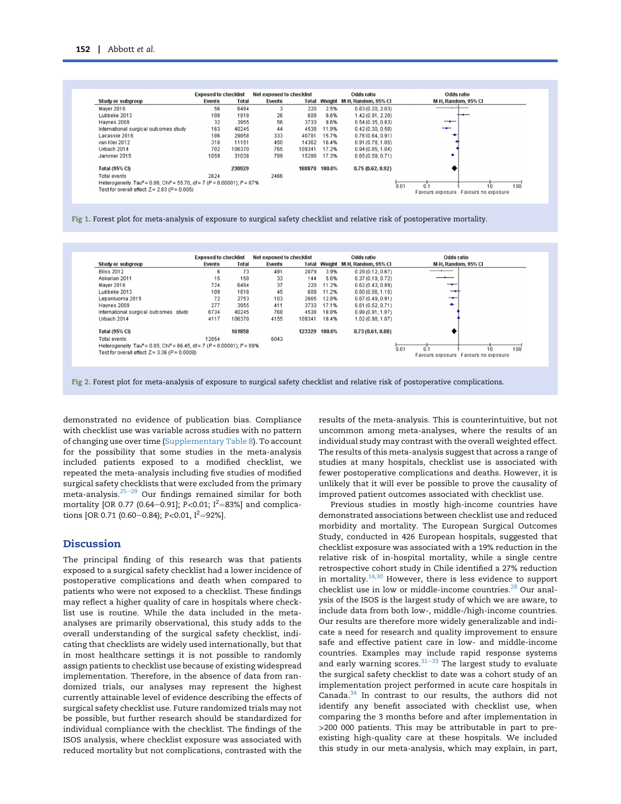<span id="page-6-0"></span>

|                                                                                                       | <b>Exposed to checklist</b> | <b>Total</b> | Not exposed to checklist |               |       | Odds ratio                       | Odds ratio                                                 |
|-------------------------------------------------------------------------------------------------------|-----------------------------|--------------|--------------------------|---------------|-------|----------------------------------|------------------------------------------------------------|
| Study or subgroup                                                                                     | Events                      |              | Events                   |               |       | Total Weight M-H, Random, 95% CI | M-H, Random, 95% CI                                        |
| Mayer 2016                                                                                            | 56                          | 6494         | 3                        | 220           | 2.5%  | 0.63(0.20, 2.03)                 |                                                            |
| Lubbeke 2013                                                                                          | 108                         | 1818         | 26                       | 609           | 9.6%  | 1.42(0.91, 2.20)                 |                                                            |
| Haynes 2009                                                                                           | 32                          | 3955         | 56                       | 3733          | 9.6%  | 0.54(0.35, 0.83)                 | ––                                                         |
| International surgical outcomes study                                                                 | 163                         | 40245        | 44                       | 4538          | 11.9% | 0.42(0.30, 0.58)                 | — <del>—</del>                                             |
| Lacassie 2016                                                                                         | 186                         | 29858        | 333                      | 40781         | 15.7% | 0.76(0.64, 0.91)                 |                                                            |
| van Klei 2012                                                                                         | 318                         | 11151        | 450                      | 14362         | 16.4% | 0.91(0.78, 1.05)                 |                                                            |
| Urbach 2014                                                                                           | 702                         | 106370       | 765                      | 109341        | 17.2% | 0.94(0.85, 1.04)                 |                                                            |
| Jammer 2015                                                                                           | 1059                        | 31038        | 789                      | 15286         | 17.3% | 0.65(0.59, 0.71)                 |                                                            |
| <b>Total (95% CI)</b>                                                                                 |                             | 230929       |                          | 188870 100.0% |       | 0.75(0.62, 0.92)                 |                                                            |
| Total events                                                                                          | 2624                        |              | 2466                     |               |       |                                  |                                                            |
| Heterogeneity: Tau <sup>2</sup> = 0.06; Chi <sup>2</sup> = 55.70, df = 7 ( $P$ < 0.00001); $P = 87\%$ |                             |              |                          |               |       |                                  |                                                            |
| Test for overall effect: $Z = 2.83$ ( $P = 0.005$ )                                                   |                             |              |                          |               |       |                                  | 0.01<br>100<br>n 1<br>Favours exposure Favours no exposure |

Fig 1. Forest plot for meta-analysis of exposure to surgical safety checklist and relative risk of postoperative mortality.

|                                                                                                       | <b>Exposed to checklist</b> |              | Not exposed to checklist |        |        | Odds ratio                 | Odds ratio                                             |
|-------------------------------------------------------------------------------------------------------|-----------------------------|--------------|--------------------------|--------|--------|----------------------------|--------------------------------------------------------|
| Study or subgroup                                                                                     | Events                      | <b>Total</b> | Events                   | Total  |        | Weight M-H, Random, 95% Cl | M-H, Random, 95% CI                                    |
| <b>Bliss 2012</b>                                                                                     | 6                           | 73           | 491                      | 2079   | 3.9%   | 0.29(0.12, 0.67)           | _____                                                  |
| Askarian 2011                                                                                         | 15                          | 150          | 33                       | 144    | 5.6%   | 0.37(0.19, 0.72)           |                                                        |
| Mayer 2016                                                                                            | 724                         | 6494         | 37                       | 220    | 11.2%  | 0.62(0.43, 0.89)           | —                                                      |
| Lubbeke 2013                                                                                          | 109                         | 1818         | 45                       | 609    | 11.2%  | 0.80(0.56, 1.15)           | -                                                      |
| Lepanluoma 2015                                                                                       | 72                          | 2753         | 103                      | 2665   | 12.8%  | 0.67(0.49, 0.91)           | —                                                      |
| Havnes 2009                                                                                           | 277                         | 3955         | 411                      | 3733   | 17.1%  | 0.61(0.52, 0.71)           | ÷                                                      |
| International surgical outcomes study                                                                 | 6734                        | 40245        | 768                      | 4538   | 18.8%  | 0.99(0.91, 1.07)           |                                                        |
| Urbach 2014                                                                                           | 4117                        | 106370       | 4155                     | 109341 | 19.4%  | 1.02 (0.98, 1.07)          |                                                        |
| <b>Total (95% CI)</b>                                                                                 |                             | 161858       |                          | 123329 | 100.0% | 0.73(0.61, 0.88)           |                                                        |
| Total events                                                                                          | 12054                       |              | 6043                     |        |        |                            |                                                        |
| Heterogeneity: Tau <sup>2</sup> = 0.05; Chi <sup>2</sup> = 66.45, df = 7 ( $P$ < 0.00001); $P = 89\%$ |                             |              |                          |        |        |                            |                                                        |
| Test for overall effect: $Z = 3.36$ ( $P = 0.0008$ )                                                  |                             |              |                          |        |        |                            | 0.01<br>100<br>Favours no exposure<br>Favours exposure |

Fig 2. Forest plot for meta-analysis of exposure to surgical safety checklist and relative risk of postoperative complications.

demonstrated no evidence of publication bias. Compliance with checklist use was variable across studies with no pattern of changing use over time (Supplementary Table 8). To account for the possibility that some studies in the meta-analysis included patients exposed to a modified checklist, we repeated the meta-analysis including five studies of modified surgical safety checklists that were excluded from the primary meta-analysis. $25-29$  $25-29$  $25-29$  Our findings remained similar for both mortality [OR 0.77 (0.64–0.91]; P<0.01; I<sup>2</sup>=83%] and complications [OR 0.71 (0.60–0.84); P<0.01, I<sup>2</sup>=92%].

## Discussion

The principal finding of this research was that patients exposed to a surgical safety checklist had a lower incidence of postoperative complications and death when compared to patients who were not exposed to a checklist. These findings may reflect a higher quality of care in hospitals where checklist use is routine. While the data included in the metaanalyses are primarily observational, this study adds to the overall understanding of the surgical safety checklist, indicating that checklists are widely used internationally, but that in most healthcare settings it is not possible to randomly assign patients to checklist use because of existing widespread implementation. Therefore, in the absence of data from randomized trials, our analyses may represent the highest currently attainable level of evidence describing the effects of surgical safety checklist use. Future randomized trials may not be possible, but further research should be standardized for individual compliance with the checklist. The findings of the ISOS analysis, where checklist exposure was associated with reduced mortality but not complications, contrasted with the results of the meta-analysis. This is counterintuitive, but not uncommon among meta-analyses, where the results of an individual study may contrast with the overall weighted effect. The results of this meta-analysis suggest that across a range of studies at many hospitals, checklist use is associated with fewer postoperative complications and deaths. However, it is unlikely that it will ever be possible to prove the causality of improved patient outcomes associated with checklist use.

Previous studies in mostly high-income countries have demonstrated associations between checklist use and reduced morbidity and mortality. The European Surgical Outcomes Study, conducted in 426 European hospitals, suggested that checklist exposure was associated with a 19% reduction in the relative risk of in-hospital mortality, while a single centre retrospective cohort study in Chile identified a 27% reduction in mortality.<sup>[14,30](#page-8-0)</sup> However, there is less evidence to support checklist use in low or middle-income countries.<sup>[28](#page-8-0)</sup> Our analysis of the ISOS is the largest study of which we are aware, to include data from both low-, middle-/high-income countries. Our results are therefore more widely generalizable and indicate a need for research and quality improvement to ensure safe and effective patient care in low- and middle-income countries. Examples may include rapid response systems and early warning scores.  $31-33$  $31-33$  $31-33$  The largest study to evaluate the surgical safety checklist to date was a cohort study of an implementation project performed in acute care hospitals in Canada. $34$  In contrast to our results, the authors did not identify any benefit associated with checklist use, when comparing the 3 months before and after implementation in >200 000 patients. This may be attributable in part to preexisting high-quality care at these hospitals. We included this study in our meta-analysis, which may explain, in part,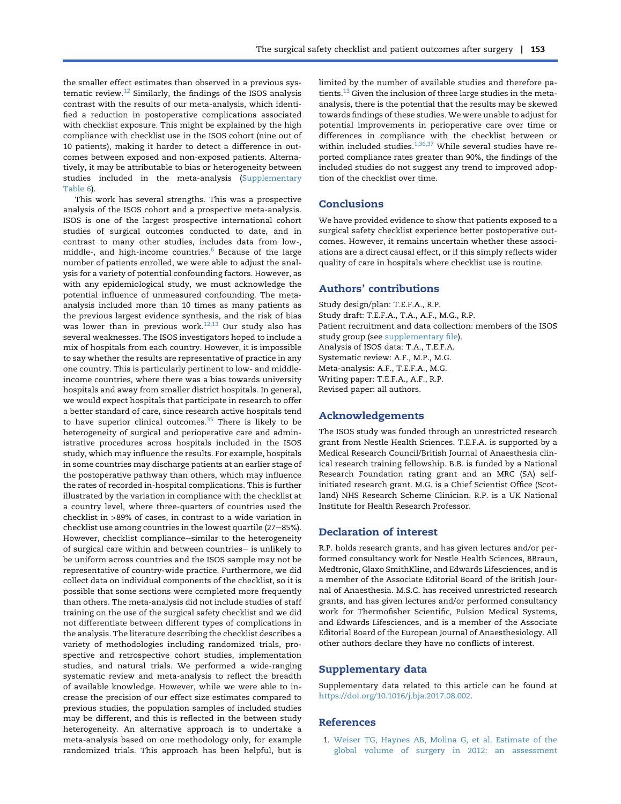<span id="page-7-0"></span>the smaller effect estimates than observed in a previous sys-tematic review.<sup>[12](#page-8-0)</sup> Similarly, the findings of the ISOS analysis contrast with the results of our meta-analysis, which identified a reduction in postoperative complications associated with checklist exposure. This might be explained by the high compliance with checklist use in the ISOS cohort (nine out of 10 patients), making it harder to detect a difference in outcomes between exposed and non-exposed patients. Alternatively, it may be attributable to bias or heterogeneity between studies included in the meta-analysis (Supplementary Table 6).

This work has several strengths. This was a prospective analysis of the ISOS cohort and a prospective meta-analysis. ISOS is one of the largest prospective international cohort studies of surgical outcomes conducted to date, and in contrast to many other studies, includes data from low-, middle-, and high-income countries.<sup>[6](#page-8-0)</sup> Because of the large number of patients enrolled, we were able to adjust the analysis for a variety of potential confounding factors. However, as with any epidemiological study, we must acknowledge the potential influence of unmeasured confounding. The metaanalysis included more than 10 times as many patients as the previous largest evidence synthesis, and the risk of bias was lower than in previous work.<sup>[12,13](#page-8-0)</sup> Our study also has several weaknesses. The ISOS investigators hoped to include a mix of hospitals from each country. However, it is impossible to say whether the results are representative of practice in any one country. This is particularly pertinent to low- and middleincome countries, where there was a bias towards university hospitals and away from smaller district hospitals. In general, we would expect hospitals that participate in research to offer a better standard of care, since research active hospitals tend to have superior clinical outcomes.<sup>35</sup> There is likely to be heterogeneity of surgical and perioperative care and administrative procedures across hospitals included in the ISOS study, which may influence the results. For example, hospitals in some countries may discharge patients at an earlier stage of the postoperative pathway than others, which may influence the rates of recorded in-hospital complications. This is further illustrated by the variation in compliance with the checklist at a country level, where three-quarters of countries used the checklist in >89% of cases, in contrast to a wide variation in checklist use among countries in the lowest quartile  $(27-85%)$ . However, checklist compliance-similar to the heterogeneity of surgical care within and between countries- is unlikely to be uniform across countries and the ISOS sample may not be representative of country-wide practice. Furthermore, we did collect data on individual components of the checklist, so it is possible that some sections were completed more frequently than others. The meta-analysis did not include studies of staff training on the use of the surgical safety checklist and we did not differentiate between different types of complications in the analysis. The literature describing the checklist describes a variety of methodologies including randomized trials, prospective and retrospective cohort studies, implementation studies, and natural trials. We performed a wide-ranging systematic review and meta-analysis to reflect the breadth of available knowledge. However, while we were able to increase the precision of our effect size estimates compared to previous studies, the population samples of included studies may be different, and this is reflected in the between study heterogeneity. An alternative approach is to undertake a meta-analysis based on one methodology only, for example randomized trials. This approach has been helpful, but is

limited by the number of available studies and therefore pa-tients.<sup>[13](#page-8-0)</sup> Given the inclusion of three large studies in the metaanalysis, there is the potential that the results may be skewed towards findings of these studies. We were unable to adjust for potential improvements in perioperative care over time or differences in compliance with the checklist between or within included studies.<sup>1,36,37</sup> While several studies have reported compliance rates greater than 90%, the findings of the included studies do not suggest any trend to improved adoption of the checklist over time.

# Conclusions

We have provided evidence to show that patients exposed to a surgical safety checklist experience better postoperative outcomes. However, it remains uncertain whether these associations are a direct causal effect, or if this simply reflects wider quality of care in hospitals where checklist use is routine.

## Authors' contributions

Study design/plan: T.E.F.A., R.P. Study draft: T.E.F.A., T.A., A.F., M.G., R.P. Patient recruitment and data collection: members of the ISOS study group (see supplementary file). Analysis of ISOS data: T.A., T.E.F.A. Systematic review: A.F., M.P., M.G. Meta-analysis: A.F., T.E.F.A., M.G. Writing paper: T.E.F.A., A.F., R.P. Revised paper: all authors.

## Acknowledgements

The ISOS study was funded through an unrestricted research grant from Nestle Health Sciences. T.E.F.A. is supported by a Medical Research Council/British Journal of Anaesthesia clinical research training fellowship. B.B. is funded by a National Research Foundation rating grant and an MRC (SA) selfinitiated research grant. M.G. is a Chief Scientist Office (Scotland) NHS Research Scheme Clinician. R.P. is a UK National Institute for Health Research Professor.

## Declaration of interest

R.P. holds research grants, and has given lectures and/or performed consultancy work for Nestle Health Sciences, BBraun, Medtronic, Glaxo SmithKline, and Edwards Lifesciences, and is a member of the Associate Editorial Board of the British Journal of Anaesthesia. M.S.C. has received unrestricted research grants, and has given lectures and/or performed consultancy work for Thermofisher Scientific, Pulsion Medical Systems, and Edwards Lifesciences, and is a member of the Associate Editorial Board of the European Journal of Anaesthesiology. All other authors declare they have no conflicts of interest.

# Supplementary data

Supplementary data related to this article can be found at <https://doi.org/10.1016/j.bja.2017.08.002>.

### References

1. [Weiser TG, Haynes AB, Molina G, et al. Estimate of the](http://refhub.elsevier.com/S0007-0912(17)53945-8/sref1) [global volume of surgery in 2012: an assessment](http://refhub.elsevier.com/S0007-0912(17)53945-8/sref1)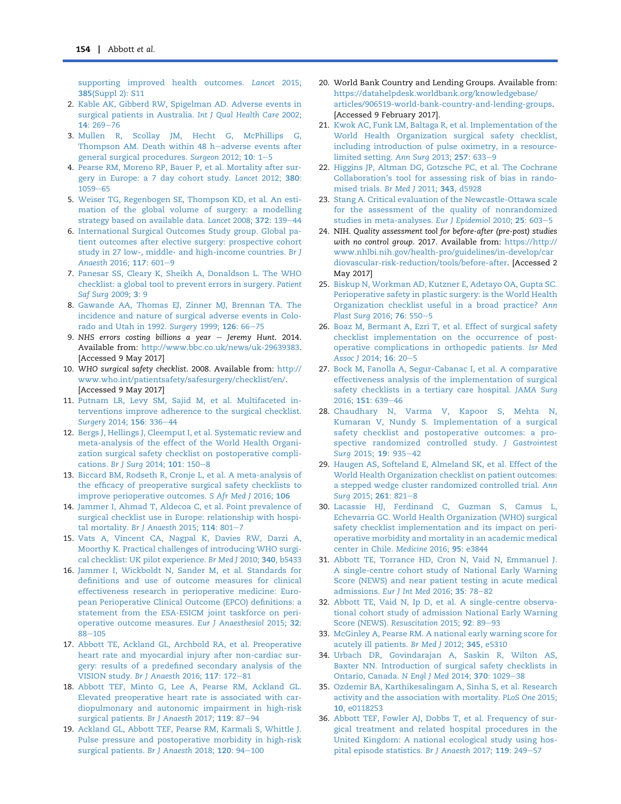<span id="page-8-0"></span>[supporting improved health outcomes.](http://refhub.elsevier.com/S0007-0912(17)53945-8/sref1) Lancet 2015; 385[\(Suppl 2\): S11](http://refhub.elsevier.com/S0007-0912(17)53945-8/sref1)

- 2. [Kable AK, Gibberd RW, Spigelman AD. Adverse events in](http://refhub.elsevier.com/S0007-0912(17)53945-8/sref2) [surgical patients in Australia.](http://refhub.elsevier.com/S0007-0912(17)53945-8/sref2) Int J Qual Health Care 2002; 14[: 269](http://refhub.elsevier.com/S0007-0912(17)53945-8/sref2)-[76](http://refhub.elsevier.com/S0007-0912(17)53945-8/sref2)
- 3. [Mullen R, Scollay JM, Hecht G, McPhillips G,](http://refhub.elsevier.com/S0007-0912(17)53945-8/sref3) [Thompson AM. Death within 48 h](http://refhub.elsevier.com/S0007-0912(17)53945-8/sref3)-[adverse events after](http://refhub.elsevier.com/S0007-0912(17)53945-8/sref3) [general surgical procedures.](http://refhub.elsevier.com/S0007-0912(17)53945-8/sref3) Surgeon 2012;  $10: 1-5$  $10: 1-5$
- 4. [Pearse RM, Moreno RP, Bauer P, et al. Mortality after sur](http://refhub.elsevier.com/S0007-0912(17)53945-8/sref4)[gery in Europe: a 7 day cohort study.](http://refhub.elsevier.com/S0007-0912(17)53945-8/sref4) Lancet 2012; 380:  $1059 - 65$  $1059 - 65$  $1059 - 65$
- 5. [Weiser TG, Regenbogen SE, Thompson KD, et al. An esti](http://refhub.elsevier.com/S0007-0912(17)53945-8/sref5)[mation of the global volume of surgery: a modelling](http://refhub.elsevier.com/S0007-0912(17)53945-8/sref5) [strategy based on available data.](http://refhub.elsevier.com/S0007-0912(17)53945-8/sref5) Lancet 2008; 372: 139-[44](http://refhub.elsevier.com/S0007-0912(17)53945-8/sref5)
- 6. [International Surgical Outcomes Study group. Global pa](http://refhub.elsevier.com/S0007-0912(17)53945-8/sref6)[tient outcomes after elective surgery: prospective cohort](http://refhub.elsevier.com/S0007-0912(17)53945-8/sref6) [study in 27 low-, middle- and high-income countries.](http://refhub.elsevier.com/S0007-0912(17)53945-8/sref6) Br J [Anaesth](http://refhub.elsevier.com/S0007-0912(17)53945-8/sref6) 2016; 117: 601-[9](http://refhub.elsevier.com/S0007-0912(17)53945-8/sref6)
- 7. [Panesar SS, Cleary K, Sheikh A, Donaldson L. The WHO](http://refhub.elsevier.com/S0007-0912(17)53945-8/sref7) [checklist: a global tool to prevent errors in surgery.](http://refhub.elsevier.com/S0007-0912(17)53945-8/sref7) Patient [Saf Surg](http://refhub.elsevier.com/S0007-0912(17)53945-8/sref7) 2009; 3: 9
- 8. [Gawande AA, Thomas EJ, Zinner MJ, Brennan TA. The](http://refhub.elsevier.com/S0007-0912(17)53945-8/sref8) [incidence and nature of surgical adverse events in Colo](http://refhub.elsevier.com/S0007-0912(17)53945-8/sref8)[rado and Utah in 1992.](http://refhub.elsevier.com/S0007-0912(17)53945-8/sref8) Surgery 1999; 126: 66-[75](http://refhub.elsevier.com/S0007-0912(17)53945-8/sref8)
- 9. NHS errors costing billions a year  $-$  Jeremy Hunt. 2014. Available from: <http://www.bbc.co.uk/news/uk-29639383>. [Accessed 9 May 2017]
- 10. WHO surgical safety checklist. 2008. Available from: [http://](http://www.who.int/patientsafety/safesurgery/checklist/en/) [www.who.int/patientsafety/safesurgery/checklist/en/.](http://www.who.int/patientsafety/safesurgery/checklist/en/) [Accessed 9 May 2017]
- 11. [Putnam LR, Levy SM, Sajid M, et al. Multifaceted in](http://refhub.elsevier.com/S0007-0912(17)53945-8/sref11)[terventions improve adherence to the surgical checklist.](http://refhub.elsevier.com/S0007-0912(17)53945-8/sref11) [Surgery](http://refhub.elsevier.com/S0007-0912(17)53945-8/sref11) 2014; 156: 336-[44](http://refhub.elsevier.com/S0007-0912(17)53945-8/sref11)
- 12. [Bergs J, Hellings J, Cleemput I, et al. Systematic review and](http://refhub.elsevier.com/S0007-0912(17)53945-8/sref12) [meta-analysis of the effect of the World Health Organi](http://refhub.elsevier.com/S0007-0912(17)53945-8/sref12)[zation surgical safety checklist on postoperative compli-](http://refhub.elsevier.com/S0007-0912(17)53945-8/sref12)cations. [Br J Surg](http://refhub.elsevier.com/S0007-0912(17)53945-8/sref12) 2014; 101: 150-[8](http://refhub.elsevier.com/S0007-0912(17)53945-8/sref12)
- 13. [Biccard BM, Rodseth R, Cronje L, et al. A meta-analysis of](http://refhub.elsevier.com/S0007-0912(17)53945-8/sref13) [the efficacy of preoperative surgical safety checklists to](http://refhub.elsevier.com/S0007-0912(17)53945-8/sref13) [improve perioperative outcomes.](http://refhub.elsevier.com/S0007-0912(17)53945-8/sref13) S Afr Med J 2016; 106
- 14. [Jammer I, Ahmad T, Aldecoa C, et al. Point prevalence of](http://refhub.elsevier.com/S0007-0912(17)53945-8/sref14) [surgical checklist use in Europe: relationship with hospi](http://refhub.elsevier.com/S0007-0912(17)53945-8/sref14)[tal mortality.](http://refhub.elsevier.com/S0007-0912(17)53945-8/sref14) Br J Anaesth 2015;  $114: 801 - 7$  $114: 801 - 7$
- 15. [Vats A, Vincent CA, Nagpal K, Davies RW, Darzi A,](http://refhub.elsevier.com/S0007-0912(17)53945-8/sref15) [Moorthy K. Practical challenges of introducing WHO surgi](http://refhub.elsevier.com/S0007-0912(17)53945-8/sref15)[cal checklist: UK pilot experience.](http://refhub.elsevier.com/S0007-0912(17)53945-8/sref15) Br Med J 2010; 340, b5433
- 16. [Jammer I, Wickboldt N, Sander M, et al. Standards for](http://refhub.elsevier.com/S0007-0912(17)53945-8/sref16) [definitions and use of outcome measures for clinical](http://refhub.elsevier.com/S0007-0912(17)53945-8/sref16) [effectiveness research in perioperative medicine: Euro](http://refhub.elsevier.com/S0007-0912(17)53945-8/sref16)[pean Perioperative Clinical Outcome \(EPCO\) definitions: a](http://refhub.elsevier.com/S0007-0912(17)53945-8/sref16) [statement from the ESA-ESICM joint taskforce on peri](http://refhub.elsevier.com/S0007-0912(17)53945-8/sref16)[operative outcome measures.](http://refhub.elsevier.com/S0007-0912(17)53945-8/sref16) Eur J Anaesthesiol 2015; 32: [88](http://refhub.elsevier.com/S0007-0912(17)53945-8/sref16)-[105](http://refhub.elsevier.com/S0007-0912(17)53945-8/sref16)
- 17. [Abbott TE, Ackland GL, Archbold RA, et al. Preoperative](http://refhub.elsevier.com/S0007-0912(17)53945-8/sref17) [heart rate and myocardial injury after non-cardiac sur](http://refhub.elsevier.com/S0007-0912(17)53945-8/sref17)[gery: results of a predefined secondary analysis of the](http://refhub.elsevier.com/S0007-0912(17)53945-8/sref17) [VISION study.](http://refhub.elsevier.com/S0007-0912(17)53945-8/sref17) Br J Anaesth 2016; 117: 172-[81](http://refhub.elsevier.com/S0007-0912(17)53945-8/sref17)
- 18. [Abbott TEF, Minto G, Lee A, Pearse RM, Ackland GL.](http://refhub.elsevier.com/S0007-0912(17)53945-8/sref18) [Elevated preoperative heart rate is associated with car](http://refhub.elsevier.com/S0007-0912(17)53945-8/sref18)[diopulmonary and autonomic impairment in high-risk](http://refhub.elsevier.com/S0007-0912(17)53945-8/sref18) [surgical patients.](http://refhub.elsevier.com/S0007-0912(17)53945-8/sref18) Br J Anaesth 2017; 119: 87-[94](http://refhub.elsevier.com/S0007-0912(17)53945-8/sref18)
- 19. [Ackland GL, Abbott TEF, Pearse RM, Karmali S, Whittle J.](http://refhub.elsevier.com/S0007-0912(17)53945-8/sref19) [Pulse pressure and postoperative morbidity in high-risk](http://refhub.elsevier.com/S0007-0912(17)53945-8/sref19) [surgical patients.](http://refhub.elsevier.com/S0007-0912(17)53945-8/sref19) Br J Anaesth 2018; 120: 94-[100](http://refhub.elsevier.com/S0007-0912(17)53945-8/sref19)
- 20. World Bank Country and Lending Groups. Available from: [https://datahelpdesk.worldbank.org/knowledgebase/](https://datahelpdesk.worldbank.org/knowledgebase/articles/906519-world-bank-country-and-lending-groups) [articles/906519-world-bank-country-and-lending-groups.](https://datahelpdesk.worldbank.org/knowledgebase/articles/906519-world-bank-country-and-lending-groups) [Accessed 9 February 2017].
- 21. [Kwok AC, Funk LM, Baltaga R, et al. Implementation of the](http://refhub.elsevier.com/S0007-0912(17)53945-8/sref21) [World Health Organization surgical safety checklist,](http://refhub.elsevier.com/S0007-0912(17)53945-8/sref21) [including introduction of pulse oximetry, in a resource](http://refhub.elsevier.com/S0007-0912(17)53945-8/sref21)[limited setting.](http://refhub.elsevier.com/S0007-0912(17)53945-8/sref21) Ann Surg 2013; 257: 633-[9](http://refhub.elsevier.com/S0007-0912(17)53945-8/sref21)
- 22. [Higgins JP, Altman DG, Gotzsche PC, et al. The Cochrane](http://refhub.elsevier.com/S0007-0912(17)53945-8/sref22) [Collaboration's tool for assessing risk of bias in rando](http://refhub.elsevier.com/S0007-0912(17)53945-8/sref22)[mised trials.](http://refhub.elsevier.com/S0007-0912(17)53945-8/sref22) Br Med J 2011; 343, d5928
- 23. [Stang A. Critical evaluation of the Newcastle-Ottawa scale](http://refhub.elsevier.com/S0007-0912(17)53945-8/sref23) [for the assessment of the quality of nonrandomized](http://refhub.elsevier.com/S0007-0912(17)53945-8/sref23) [studies in meta-analyses.](http://refhub.elsevier.com/S0007-0912(17)53945-8/sref23) Eur J Epidemiol 2010; 2[5](http://refhub.elsevier.com/S0007-0912(17)53945-8/sref23): 603-5
- 24. NIH. Quality assessment tool for before-after (pre-post) studies with no control group. 2017. Available from: [https://http://](https://http://www.nhlbi.nih.gov/health-pro/guidelines/in-develop/cardiovascular-risk-reduction/tools/before-after) [www.nhlbi.nih.gov/health-pro/guidelines/in-develop/car](https://http://www.nhlbi.nih.gov/health-pro/guidelines/in-develop/cardiovascular-risk-reduction/tools/before-after) [diovascular-risk-reduction/tools/before-after](https://http://www.nhlbi.nih.gov/health-pro/guidelines/in-develop/cardiovascular-risk-reduction/tools/before-after). [Accessed 2 May 2017]
- 25. [Biskup N, Workman AD, Kutzner E, Adetayo OA, Gupta SC.](http://refhub.elsevier.com/S0007-0912(17)53945-8/sref25) [Perioperative safety in plastic surgery: is the World Health](http://refhub.elsevier.com/S0007-0912(17)53945-8/sref25) [Organization checklist useful in a broad practice?](http://refhub.elsevier.com/S0007-0912(17)53945-8/sref25) Ann [Plast Surg](http://refhub.elsevier.com/S0007-0912(17)53945-8/sref25) 2016; 76: [5](http://refhub.elsevier.com/S0007-0912(17)53945-8/sref25)50-5
- 26. [Boaz M, Bermant A, Ezri T, et al. Effect of surgical safety](http://refhub.elsevier.com/S0007-0912(17)53945-8/sref26) [checklist implementation on the occurrence of post](http://refhub.elsevier.com/S0007-0912(17)53945-8/sref26)[operative complications in orthopedic patients.](http://refhub.elsevier.com/S0007-0912(17)53945-8/sref26) Isr Med [Assoc J](http://refhub.elsevier.com/S0007-0912(17)53945-8/sref26) 2014; 16: 20-[5](http://refhub.elsevier.com/S0007-0912(17)53945-8/sref26)
- 27. [Bock M, Fanolla A, Segur-Cabanac I, et al. A comparative](http://refhub.elsevier.com/S0007-0912(17)53945-8/sref27) [effectiveness analysis of the implementation of surgical](http://refhub.elsevier.com/S0007-0912(17)53945-8/sref27) [safety checklists in a tertiary care hospital.](http://refhub.elsevier.com/S0007-0912(17)53945-8/sref27) JAMA Surg [2016;](http://refhub.elsevier.com/S0007-0912(17)53945-8/sref27) 151: 639-[46](http://refhub.elsevier.com/S0007-0912(17)53945-8/sref27)
- 28. [Chaudhary N, Varma V, Kapoor S, Mehta N,](http://refhub.elsevier.com/S0007-0912(17)53945-8/sref28) [Kumaran V, Nundy S. Implementation of a surgical](http://refhub.elsevier.com/S0007-0912(17)53945-8/sref28) [safety checklist and postoperative outcomes: a pro](http://refhub.elsevier.com/S0007-0912(17)53945-8/sref28)[spective randomized controlled study.](http://refhub.elsevier.com/S0007-0912(17)53945-8/sref28) J Gastrointest Surg [2015;](http://refhub.elsevier.com/S0007-0912(17)53945-8/sref28) 19: 935-[42](http://refhub.elsevier.com/S0007-0912(17)53945-8/sref28)
- 29. [Haugen AS, Softeland E, Almeland SK, et al. Effect of the](http://refhub.elsevier.com/S0007-0912(17)53945-8/sref29) [World Health Organization checklist on patient outcomes:](http://refhub.elsevier.com/S0007-0912(17)53945-8/sref29) [a stepped wedge cluster randomized controlled trial.](http://refhub.elsevier.com/S0007-0912(17)53945-8/sref29) Ann Surg [2015;](http://refhub.elsevier.com/S0007-0912(17)53945-8/sref29) 261: [8](http://refhub.elsevier.com/S0007-0912(17)53945-8/sref29)21-8
- 30. [Lacassie HJ, Ferdinand C, Guzman S, Camus L,](http://refhub.elsevier.com/S0007-0912(17)53945-8/sref30) [Echevarria GC. World Health Organization \(WHO\) surgical](http://refhub.elsevier.com/S0007-0912(17)53945-8/sref30) [safety checklist implementation and its impact on peri](http://refhub.elsevier.com/S0007-0912(17)53945-8/sref30)[operative morbidity and mortality in an academic medical](http://refhub.elsevier.com/S0007-0912(17)53945-8/sref30) [center in Chile.](http://refhub.elsevier.com/S0007-0912(17)53945-8/sref30) Medicine 2016; 95: e3844
- 31. [Abbott TE, Torrance HD, Cron N, Vaid N, Emmanuel J.](http://refhub.elsevier.com/S0007-0912(17)53945-8/sref31) [A single-centre cohort study of National Early Warning](http://refhub.elsevier.com/S0007-0912(17)53945-8/sref31) [Score \(NEWS\) and near patient testing in acute medical](http://refhub.elsevier.com/S0007-0912(17)53945-8/sref31) admissions. [Eur J Int Med](http://refhub.elsevier.com/S0007-0912(17)53945-8/sref31) 2016; 35: 78-[82](http://refhub.elsevier.com/S0007-0912(17)53945-8/sref31)
- 32. [Abbott TE, Vaid N, Ip D, et al. A single-centre observa](http://refhub.elsevier.com/S0007-0912(17)53945-8/sref32)[tional cohort study of admission National Early Warning](http://refhub.elsevier.com/S0007-0912(17)53945-8/sref32) [Score \(NEWS\).](http://refhub.elsevier.com/S0007-0912(17)53945-8/sref32) Resuscitation 2015; 92: 89-[93](http://refhub.elsevier.com/S0007-0912(17)53945-8/sref32)
- 33. [McGinley A, Pearse RM. A national early warning score for](http://refhub.elsevier.com/S0007-0912(17)53945-8/sref33) [acutely ill patients.](http://refhub.elsevier.com/S0007-0912(17)53945-8/sref33) Br Med J 2012; 345, e5310
- 34. [Urbach DR, Govindarajan A, Saskin R, Wilton AS,](http://refhub.elsevier.com/S0007-0912(17)53945-8/sref34) [Baxter NN. Introduction of surgical safety checklists in](http://refhub.elsevier.com/S0007-0912(17)53945-8/sref34) [Ontario, Canada.](http://refhub.elsevier.com/S0007-0912(17)53945-8/sref34) N Engl J Med 2014; 370: 1029-[38](http://refhub.elsevier.com/S0007-0912(17)53945-8/sref34)
- 35. [Ozdemir BA, Karthikesalingam A, Sinha S, et al. Research](http://refhub.elsevier.com/S0007-0912(17)53945-8/sref35) [activity and the association with mortality.](http://refhub.elsevier.com/S0007-0912(17)53945-8/sref35) PLoS One 2015; 10[, e0118253](http://refhub.elsevier.com/S0007-0912(17)53945-8/sref35)
- 36. [Abbott TEF, Fowler AJ, Dobbs T, et al. Frequency of sur](http://refhub.elsevier.com/S0007-0912(17)53945-8/sref36)[gical treatment and related hospital procedures in the](http://refhub.elsevier.com/S0007-0912(17)53945-8/sref36) [United Kingdom: A national ecological study using hos](http://refhub.elsevier.com/S0007-0912(17)53945-8/sref36)[pital episode statistics.](http://refhub.elsevier.com/S0007-0912(17)53945-8/sref36) Br J Anaesth 2017; 119: 249-[57](http://refhub.elsevier.com/S0007-0912(17)53945-8/sref36)